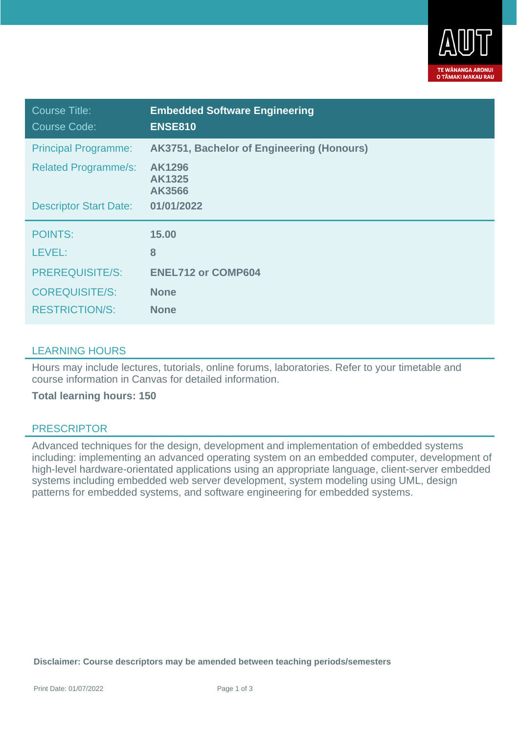

| Course Title:<br><b>Course Code:</b> | <b>Embedded Software Engineering</b><br><b>ENSE810</b> |
|--------------------------------------|--------------------------------------------------------|
| <b>Principal Programme:</b>          | AK3751, Bachelor of Engineering (Honours)              |
| <b>Related Programme/s:</b>          | <b>AK1296</b><br>AK1325<br>AK3566                      |
| <b>Descriptor Start Date:</b>        | 01/01/2022                                             |
| <b>POINTS:</b>                       | 15.00                                                  |
| LEVEL:                               | 8                                                      |
| <b>PREREQUISITE/S:</b>               | <b>ENEL712 or COMP604</b>                              |
| <b>COREQUISITE/S:</b>                | <b>None</b>                                            |
| <b>RESTRICTION/S:</b>                | <b>None</b>                                            |

## LEARNING HOURS

Hours may include lectures, tutorials, online forums, laboratories. Refer to your timetable and course information in Canvas for detailed information.

**Total learning hours: 150**

## PRESCRIPTOR

Advanced techniques for the design, development and implementation of embedded systems including: implementing an advanced operating system on an embedded computer, development of high-level hardware-orientated applications using an appropriate language, client-server embedded systems including embedded web server development, system modeling using UML, design patterns for embedded systems, and software engineering for embedded systems.

**Disclaimer: Course descriptors may be amended between teaching periods/semesters**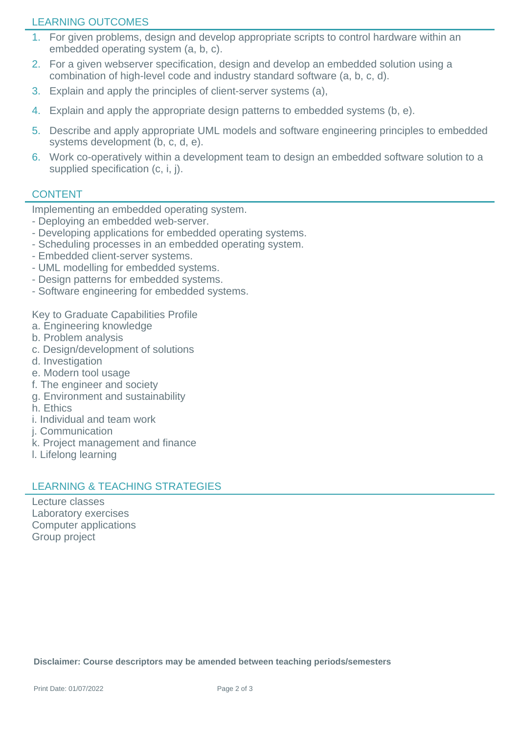# LEARNING OUTCOMES

- 1. For given problems, design and develop appropriate scripts to control hardware within an embedded operating system (a, b, c).
- 2. For a given webserver specification, design and develop an embedded solution using a combination of high-level code and industry standard software (a, b, c, d).
- 3. Explain and apply the principles of client-server systems (a),
- 4. Explain and apply the appropriate design patterns to embedded systems (b, e).
- 5. Describe and apply appropriate UML models and software engineering principles to embedded systems development (b, c, d, e).
- 6. Work co-operatively within a development team to design an embedded software solution to a supplied specification (c, i, j).

# **CONTENT**

Implementing an embedded operating system.

- Deploying an embedded web-server.
- Developing applications for embedded operating systems.
- Scheduling processes in an embedded operating system.
- Embedded client-server systems.
- UML modelling for embedded systems.
- Design patterns for embedded systems.
- Software engineering for embedded systems.

Key to Graduate Capabilities Profile

- a. Engineering knowledge
- b. Problem analysis
- c. Design/development of solutions
- d. Investigation
- e. Modern tool usage
- f. The engineer and society
- g. Environment and sustainability
- h. Ethics
- i. Individual and team work
- j. Communication
- k. Project management and finance
- l. Lifelong learning

# LEARNING & TEACHING STRATEGIES

Lecture classes Laboratory exercises Computer applications Group project

**Disclaimer: Course descriptors may be amended between teaching periods/semesters**